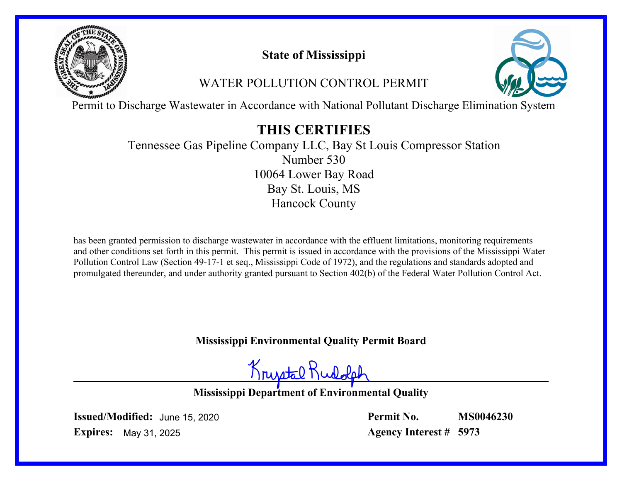

# **State of Mississippi**

# WATER POLLUTION CONTROL PERMIT



Permit to Discharge Wastewater in Accordance with National Pollutant Discharge Elimination System

# **THIS CERTIFIES**

Tennessee Gas Pipeline Company LLC, Bay St Louis Compressor Station Number 530 Bay St. Louis, MS Hancock County 10064 Lower Bay Road

has been granted permission to discharge wastewater in accordance with the effluent limitations, monitoring requirements and other conditions set forth in this permit. This permit is issued in accordance with the provisions of the Mississippi Water Pollution Control Law (Section 49-17-1 et seq., Mississippi Code of 1972), and the regulations and standards adopted and promulgated thereunder, and under authority granted pursuant to Section 402(b) of the Federal Water Pollution Control Act.

**Mississippi Environmental Quality Permit Board**

Krustal Rudolp

**Mississippi Department of Environmental Quality**

**Issued/Modified:** June 15, 2020 **Expires:** May 31, 2025

**Permit No. Agency Interest # 5973 MS0046230**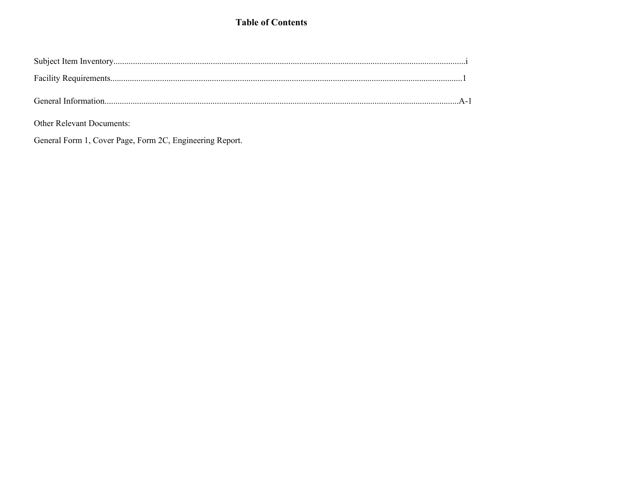### **Table of Contents**

Other Relevant Documents:

General Form 1, Cover Page, Form 2C, Engineering Report.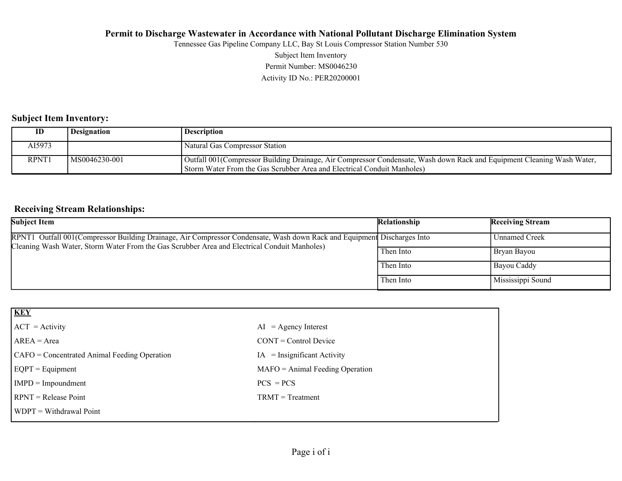Subject Item Inventory Tennessee Gas Pipeline Company LLC, Bay St Louis Compressor Station Number 530

Permit Number: MS0046230

Activity ID No.: PER20200001

### **Subject Item Inventory:**

| ID     | Designation    | <b>Description</b>                                                                                                                                                                                 |
|--------|----------------|----------------------------------------------------------------------------------------------------------------------------------------------------------------------------------------------------|
| AI5973 |                | Natural Gas Compressor Station                                                                                                                                                                     |
| RPNT1  | IMS0046230-001 | Outfall 001 (Compressor Building Drainage, Air Compressor Condensate, Wash down Rack and Equipment Cleaning Wash Water,<br>Storm Water From the Gas Scrubber Area and Electrical Conduit Manholes) |

### **Receiving Stream Relationships:**

| <b>Subject Item</b>                                                                                                                                                                                                     | Relationship | <b>Receiving Stream</b> |
|-------------------------------------------------------------------------------------------------------------------------------------------------------------------------------------------------------------------------|--------------|-------------------------|
| RPNT1 Outfall 001(Compressor Building Drainage, Air Compressor Condensate, Wash down Rack and Equipment Discharges Into<br>Cleaning Wash Water, Storm Water From the Gas Scrubber Area and Electrical Conduit Manholes) |              | Unnamed Creek           |
|                                                                                                                                                                                                                         | Then Into    | Bryan Bayou             |
|                                                                                                                                                                                                                         | Then Into    | Bayou Caddy             |
|                                                                                                                                                                                                                         | Then Into    | Mississippi Sound       |

| <b>KEY</b>                                   |                                   |
|----------------------------------------------|-----------------------------------|
| $ ACT = Activity$                            | $AI = Agency Interest$            |
| $AREA = Area$                                | $CONT = Control$ Device           |
| CAFO = Concentrated Animal Feeding Operation | $IA = Insignificant Activity$     |
| $EQPT = Equipment$                           | $MAFO = Animal Feeding Operation$ |
| $IMPD = Impoundment$                         | $PCS = PCs$                       |
| $RPNT = Release Point$                       | $TRMT = Treatment$                |
| $WDPT = Without$ Withdrawal Point            |                                   |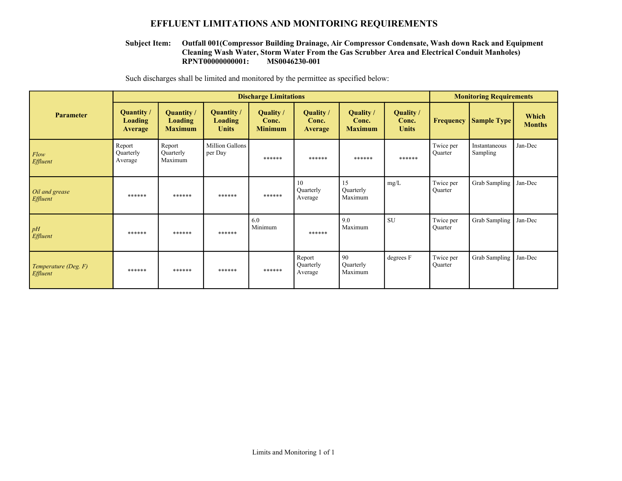#### **EFFLUENT LIMITATIONS AND MONITORING REQUIREMENTS**

#### **RPNT00000000001: MS0046230-001 Outfall 001(Compressor Building Drainage, Air Compressor Condensate, Wash down Rack and Equipment Cleaning Wash Water, Storm Water From the Gas Scrubber Area and Electrical Conduit Manholes) Subject Item:**

Such discharges shall be limited and monitored by the permittee as specified below:

|                                         | <b>Discharge Limitations</b>                   |                                                |                                              |                                      |                                      |                                      | <b>Monitoring Requirements</b>     |                             |                           |                        |
|-----------------------------------------|------------------------------------------------|------------------------------------------------|----------------------------------------------|--------------------------------------|--------------------------------------|--------------------------------------|------------------------------------|-----------------------------|---------------------------|------------------------|
| <b>Parameter</b>                        | Quantity /<br><b>Loading</b><br><b>Average</b> | Quantity /<br><b>Loading</b><br><b>Maximum</b> | <b>Quantity</b> /<br>Loading<br><b>Units</b> | Quality /<br>Conc.<br><b>Minimum</b> | Quality /<br>Conc.<br><b>Average</b> | Quality /<br>Conc.<br><b>Maximum</b> | Quality /<br>Conc.<br><b>Units</b> | <b>Frequency</b>            | <b>Sample Type</b>        | Which<br><b>Months</b> |
| Flow<br>Effluent                        | Report<br>Quarterly<br>Average                 | Report<br>Quarterly<br>Maximum                 | Million Gallons<br>per Day                   | ******                               | ******                               | ******                               | ******                             | Twice per<br><b>Ouarter</b> | Instantaneous<br>Sampling | Jan-Dec                |
| Oil and grease<br>Effluent              | ******                                         | ******                                         | ******                                       | ******                               | 10<br>Quarterly<br>Average           | 15<br>Quarterly<br>Maximum           | mg/L                               | Twice per<br>Quarter        | <b>Grab Sampling</b>      | Jan-Dec                |
| pH<br>Effluent                          | ******                                         | ******                                         | ******                                       | 6.0<br>Minimum                       | ******                               | 9.0<br>Maximum                       | <b>SU</b>                          | Twice per<br>Quarter        | Grab Sampling             | Jan-Dec                |
| Temperature (Deg. F)<br><i>Effluent</i> | ******                                         | ******                                         | ******                                       | ******                               | Report<br>Quarterly<br>Average       | 90<br>Quarterly<br>Maximum           | degrees F                          | Twice per<br>Quarter        | <b>Grab Sampling</b>      | Jan-Dec                |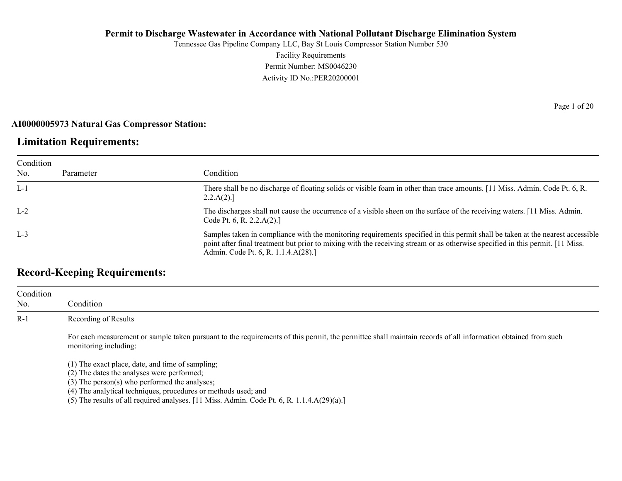Tennessee Gas Pipeline Company LLC, Bay St Louis Compressor Station Number 530 Facility Requirements Permit Number: MS0046230 Activity ID No.:PER20200001

#### **AI0000005973 Natural Gas Compressor Station:**

### **Limitation Requirements:**

| Condition |           |                                                                                                                                                                                                                                                                                                         |
|-----------|-----------|---------------------------------------------------------------------------------------------------------------------------------------------------------------------------------------------------------------------------------------------------------------------------------------------------------|
| No.       | Parameter | Condition                                                                                                                                                                                                                                                                                               |
| $L-1$     |           | There shall be no discharge of floating solids or visible foam in other than trace amounts. [11 Miss. Admin. Code Pt. 6, R.<br>2.2.A(2).                                                                                                                                                                |
| $L-2$     |           | The discharges shall not cause the occurrence of a visible sheen on the surface of the receiving waters. [11 Miss. Admin.<br>Code Pt. 6, R. 2.2. $A(2)$ .]                                                                                                                                              |
| $L-3$     |           | Samples taken in compliance with the monitoring requirements specified in this permit shall be taken at the nearest accessible<br>point after final treatment but prior to mixing with the receiving stream or as otherwise specified in this permit. [11 Miss.]<br>Admin. Code Pt. 6, R. 1.1.4.A(28).] |

## **Record-Keeping Requirements:**

| Condition<br>No. | Condition                                                                                                                                                                                                           |
|------------------|---------------------------------------------------------------------------------------------------------------------------------------------------------------------------------------------------------------------|
| $R-1$            | Recording of Results                                                                                                                                                                                                |
|                  | For each measurement or sample taken pursuant to the requirements of this permit, the permittee shall maintain records of all information obtained from such<br>monitoring including:                               |
|                  | (1) The exact place, date, and time of sampling;<br>(2) The dates the analyses were performed;<br>$(3)$ The person(s) who performed the analyses;<br>(4) The analytical techniques, procedures or methods used; and |

(5) The results of all required analyses. [11 Miss. Admin. Code Pt. 6, R. 1.1.4.A(29)(a).]

Page 1 of 20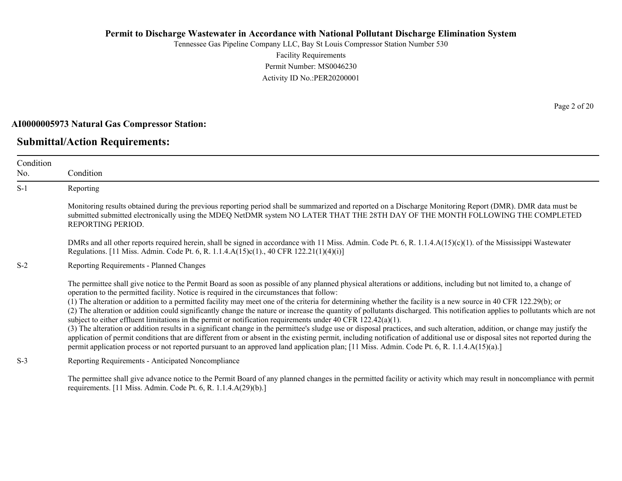Tennessee Gas Pipeline Company LLC, Bay St Louis Compressor Station Number 530 Facility Requirements Permit Number: MS0046230 Activity ID No.:PER20200001

#### **AI0000005973 Natural Gas Compressor Station:**

### **Submittal/Action Requirements:**

Condition No. Condition S-1 Reporting Monitoring results obtained during the previous reporting period shall be summarized and reported on a Discharge Monitoring Report (DMR). DMR data must be submitted submitted electronically using the MDEQ NetDMR system NO LATER THAT THE 28TH DAY OF THE MONTH FOLLOWING THE COMPLETED REPORTING PERIOD. DMRs and all other reports required herein, shall be signed in accordance with 11 Miss. Admin. Code Pt. 6, R. 1.1.4.A(15)(c)(1). of the Mississippi Wastewater Regulations. [11 Miss. Admin. Code Pt. 6, R. 1.1.4.A(15)c(1)., 40 CFR 122.21(1)(4)(i)] S-2 Reporting Requirements - Planned Changes The permittee shall give notice to the Permit Board as soon as possible of any planned physical alterations or additions, including but not limited to, a change of operation to the permitted facility. Notice is required in the circumstances that follow: (1) The alteration or addition to a permitted facility may meet one of the criteria for determining whether the facility is a new source in 40 CFR 122.29(b); or (2) The alteration or addition could significantly change the nature or increase the quantity of pollutants discharged. This notification applies to pollutants which are not subject to either effluent limitations in the permit or notification requirements under 40 CFR 122.42(a)(1). (3) The alteration or addition results in a significant change in the permittee's sludge use or disposal practices, and such alteration, addition, or change may justify the application of permit conditions that are different from or absent in the existing permit, including notification of additional use or disposal sites not reported during the permit application process or not reported pursuant to an approved land application plan; [11 Miss. Admin. Code Pt. 6, R. 1.1.4.A(15)(a).] S-3 Reporting Requirements - Anticipated Noncompliance

The permittee shall give advance notice to the Permit Board of any planned changes in the permitted facility or activity which may result in noncompliance with permit requirements. [11 Miss. Admin. Code Pt. 6, R. 1.1.4.A(29)(b).]

Page 2 of 20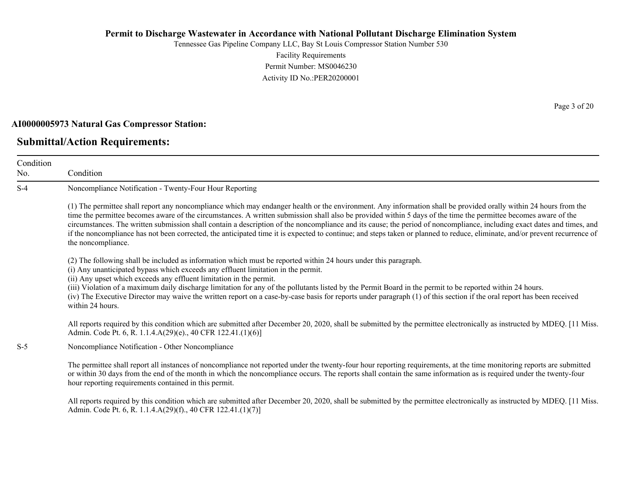Tennessee Gas Pipeline Company LLC, Bay St Louis Compressor Station Number 530 Facility Requirements Permit Number: MS0046230 Activity ID No.:PER20200001

#### **AI0000005973 Natural Gas Compressor Station:**

### **Submittal/Action Requirements:**

Condition No. Condition S-4 Noncompliance Notification - Twenty-Four Hour Reporting (1) The permittee shall report any noncompliance which may endanger health or the environment. Any information shall be provided orally within 24 hours from the time the permittee becomes aware of the circumstances. A written submission shall also be provided within 5 days of the time the permittee becomes aware of the circumstances. The written submission shall contain a description of the noncompliance and its cause; the period of noncompliance, including exact dates and times, and if the noncompliance has not been corrected, the anticipated time it is expected to continue; and steps taken or planned to reduce, eliminate, and/or prevent recurrence of the noncompliance. (2) The following shall be included as information which must be reported within 24 hours under this paragraph. (i) Any unanticipated bypass which exceeds any effluent limitation in the permit. (ii) Any upset which exceeds any effluent limitation in the permit. (iii) Violation of a maximum daily discharge limitation for any of the pollutants listed by the Permit Board in the permit to be reported within 24 hours. (iv) The Executive Director may waive the written report on a case-by-case basis for reports under paragraph (1) of this section if the oral report has been received within 24 hours. All reports required by this condition which are submitted after December 20, 2020, shall be submitted by the permittee electronically as instructed by MDEQ. [11 Miss. Admin. Code Pt. 6, R. 1.1.4.A(29)(e)., 40 CFR 122.41.(1)(6)] S-5 Noncompliance Notification - Other Noncompliance The permittee shall report all instances of noncompliance not reported under the twenty-four hour reporting requirements, at the time monitoring reports are submitted or within 30 days from the end of the month in which the noncompliance occurs. The reports shall contain the same information as is required under the twenty-four hour reporting requirements contained in this permit.

All reports required by this condition which are submitted after December 20, 2020, shall be submitted by the permittee electronically as instructed by MDEQ. [11 Miss.] Admin. Code Pt. 6, R. 1.1.4.A(29)(f)., 40 CFR 122.41.(1)(7)]

Page 3 of 20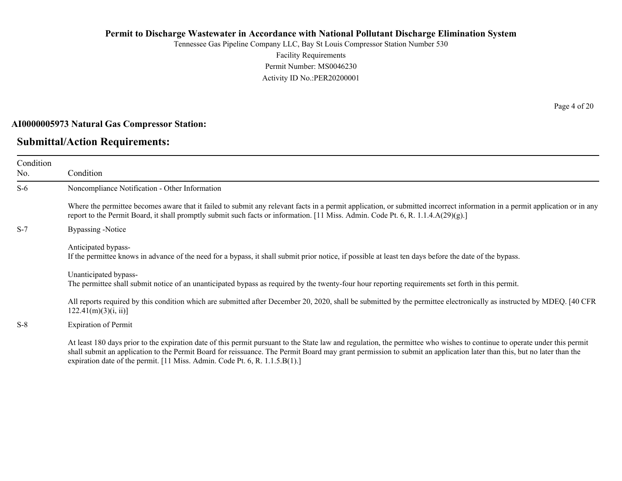Tennessee Gas Pipeline Company LLC, Bay St Louis Compressor Station Number 530 Facility Requirements Permit Number: MS0046230 Activity ID No.:PER20200001

#### **AI0000005973 Natural Gas Compressor Station:**

### **Submittal/Action Requirements:**

Condition No. Condition S-6 Noncompliance Notification - Other Information Where the permittee becomes aware that it failed to submit any relevant facts in a permit application, or submitted incorrect information in a permit application or in any report to the Permit Board, it shall promptly submit such facts or information. [11 Miss. Admin. Code Pt. 6, R. 1.1.4.A(29)(g).] S-7 Bypassing -Notice Anticipated bypass-If the permittee knows in advance of the need for a bypass, it shall submit prior notice, if possible at least ten days before the date of the bypass. Unanticipated bypass-The permittee shall submit notice of an unanticipated bypass as required by the twenty-four hour reporting requirements set forth in this permit. All reports required by this condition which are submitted after December 20, 2020, shall be submitted by the permittee electronically as instructed by MDEQ. [40 CFR  $122.41(m)(3)(i, ii)$ ]

S-8 Expiration of Permit

At least 180 days prior to the expiration date of this permit pursuant to the State law and regulation, the permittee who wishes to continue to operate under this permit shall submit an application to the Permit Board for reissuance. The Permit Board may grant permission to submit an application later than this, but no later than the expiration date of the permit. [11 Miss. Admin. Code Pt. 6, R. 1.1.5.B(1).]

Page 4 of 20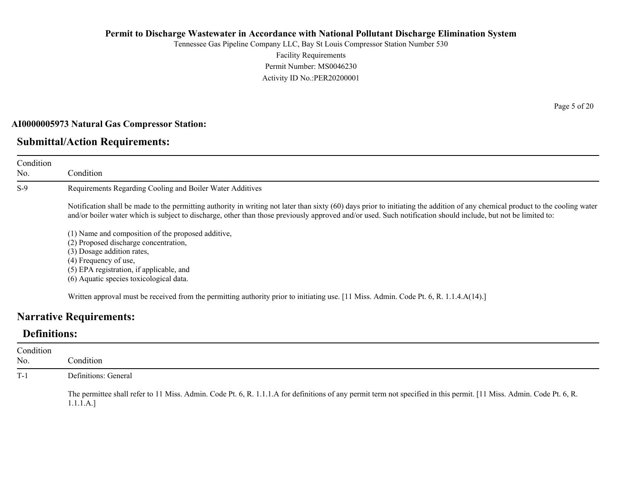Tennessee Gas Pipeline Company LLC, Bay St Louis Compressor Station Number 530 Facility Requirements Permit Number: MS0046230 Activity ID No.:PER20200001

#### **AI0000005973 Natural Gas Compressor Station:**

### **Submittal/Action Requirements:**

Condition No. Condition S-9 Requirements Regarding Cooling and Boiler Water Additives Notification shall be made to the permitting authority in writing not later than sixty (60) days prior to initiating the addition of any chemical product to the cooling water and/or boiler water which is subject to discharge, other than those previously approved and/or used. Such notification should include, but not be limited to: (1) Name and composition of the proposed additive, (2) Proposed discharge concentration, (3) Dosage addition rates, (4) Frequency of use, (5) EPA registration, if applicable, and (6) Aquatic species toxicological data.

Written approval must be received from the permitting authority prior to initiating use. [11 Miss. Admin. Code Pt. 6, R. 1.1.4.A(14).]

### **Narrative Requirements:**

### **Definitions:**

| Condition<br>No. | Condition                                                                                                                                                                         |
|------------------|-----------------------------------------------------------------------------------------------------------------------------------------------------------------------------------|
| $T-1$            | Definitions: General                                                                                                                                                              |
|                  | The permittee shall refer to 11 Miss. Admin. Code Pt. 6, R. 1.1.1.A for definitions of any permit term not specified in this permit. [11 Miss. Admin. Code Pt. 6, R.<br>1.1.1.A.] |

Page 5 of 20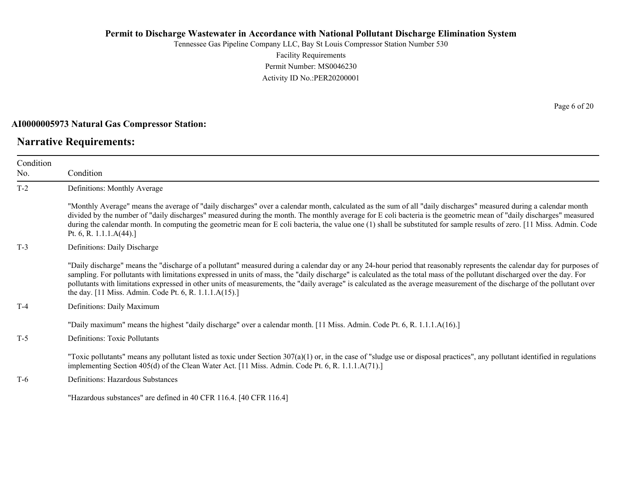Tennessee Gas Pipeline Company LLC, Bay St Louis Compressor Station Number 530 Facility Requirements Permit Number: MS0046230 Activity ID No.:PER20200001

#### **AI0000005973 Natural Gas Compressor Station:**

### **Narrative Requirements:**

| Condition<br>No. | Condition                                                                                                                                                                                                                                                                                                                                                                                                                                                                                                                                                                                   |
|------------------|---------------------------------------------------------------------------------------------------------------------------------------------------------------------------------------------------------------------------------------------------------------------------------------------------------------------------------------------------------------------------------------------------------------------------------------------------------------------------------------------------------------------------------------------------------------------------------------------|
| $T-2$            | Definitions: Monthly Average                                                                                                                                                                                                                                                                                                                                                                                                                                                                                                                                                                |
|                  | "Monthly Average" means the average of "daily discharges" over a calendar month, calculated as the sum of all "daily discharges" measured during a calendar month<br>divided by the number of "daily discharges" measured during the month. The monthly average for E coli bacteria is the geometric mean of "daily discharges" measured<br>during the calendar month. In computing the geometric mean for E coli bacteria, the value one (1) shall be substituted for sample results of zero. [11 Miss. Admin. Code<br>Pt. 6, R. 1.1.1. $A(44)$ .]                                         |
| $T-3$            | Definitions: Daily Discharge                                                                                                                                                                                                                                                                                                                                                                                                                                                                                                                                                                |
|                  | "Daily discharge" means the "discharge of a pollutant" measured during a calendar day or any 24-hour period that reasonably represents the calendar day for purposes of<br>sampling. For pollutants with limitations expressed in units of mass, the "daily discharge" is calculated as the total mass of the pollutant discharged over the day. For<br>pollutants with limitations expressed in other units of measurements, the "daily average" is calculated as the average measurement of the discharge of the pollutant over<br>the day. [11 Miss. Admin. Code Pt. 6, R. 1.1.1.A(15).] |
| $T-4$            | Definitions: Daily Maximum                                                                                                                                                                                                                                                                                                                                                                                                                                                                                                                                                                  |
| $T-5$            | "Daily maximum" means the highest "daily discharge" over a calendar month. [11 Miss. Admin. Code Pt. 6, R. 1.1.1.A(16).]<br>Definitions: Toxic Pollutants                                                                                                                                                                                                                                                                                                                                                                                                                                   |
|                  | "Toxic pollutants" means any pollutant listed as toxic under Section $307(a)(1)$ or, in the case of "sludge use or disposal practices", any pollutant identified in regulations<br>implementing Section 405(d) of the Clean Water Act. [11 Miss. Admin. Code Pt. 6, R. 1.1.1.A(71).]                                                                                                                                                                                                                                                                                                        |
| T-6              | Definitions: Hazardous Substances                                                                                                                                                                                                                                                                                                                                                                                                                                                                                                                                                           |
|                  | "Hazardous substances" are defined in 40 CFR 116.4. [40 CFR 116.4]                                                                                                                                                                                                                                                                                                                                                                                                                                                                                                                          |

Page 6 of 20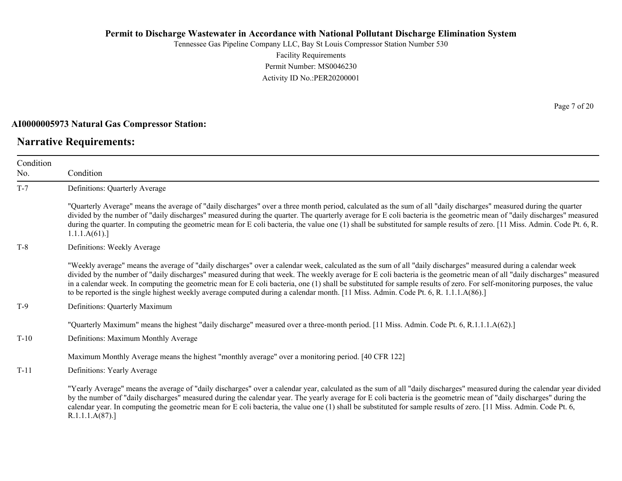Tennessee Gas Pipeline Company LLC, Bay St Louis Compressor Station Number 530 Facility Requirements Permit Number: MS0046230 Activity ID No.:PER20200001

#### **AI0000005973 Natural Gas Compressor Station:**

### **Narrative Requirements:**

Page 7 of 20

| Condition |                                                                                                                                                                                                                                                                                                                                                                                                                                                                                                                                                                                                                                                              |
|-----------|--------------------------------------------------------------------------------------------------------------------------------------------------------------------------------------------------------------------------------------------------------------------------------------------------------------------------------------------------------------------------------------------------------------------------------------------------------------------------------------------------------------------------------------------------------------------------------------------------------------------------------------------------------------|
| No.       | Condition                                                                                                                                                                                                                                                                                                                                                                                                                                                                                                                                                                                                                                                    |
| $T-7$     | Definitions: Quarterly Average                                                                                                                                                                                                                                                                                                                                                                                                                                                                                                                                                                                                                               |
|           | "Quarterly Average" means the average of "daily discharges" over a three month period, calculated as the sum of all "daily discharges" measured during the quarter<br>divided by the number of "daily discharges" measured during the quarter. The quarterly average for E coli bacteria is the geometric mean of "daily discharges" measured<br>during the quarter. In computing the geometric mean for E coli bacteria, the value one (1) shall be substituted for sample results of zero. [11 Miss. Admin. Code Pt. 6, R.<br>1.1.1.A(61).                                                                                                                 |
| $T-8$     | Definitions: Weekly Average                                                                                                                                                                                                                                                                                                                                                                                                                                                                                                                                                                                                                                  |
|           | "Weekly average" means the average of "daily discharges" over a calendar week, calculated as the sum of all "daily discharges" measured during a calendar week<br>divided by the number of "daily discharges" measured during that week. The weekly average for E coli bacteria is the geometric mean of all "daily discharges" measured<br>in a calendar week. In computing the geometric mean for E coli bacteria, one (1) shall be substituted for sample results of zero. For self-monitoring purposes, the value<br>to be reported is the single highest weekly average computed during a calendar month. [11 Miss. Admin. Code Pt. 6, R. 1.1.1.A(86).] |
| $T-9$     | Definitions: Quarterly Maximum                                                                                                                                                                                                                                                                                                                                                                                                                                                                                                                                                                                                                               |
|           | "Quarterly Maximum" means the highest "daily discharge" measured over a three-month period. [11 Miss. Admin. Code Pt. 6, R.1.1.1.A(62).]                                                                                                                                                                                                                                                                                                                                                                                                                                                                                                                     |
| $T-10$    | Definitions: Maximum Monthly Average                                                                                                                                                                                                                                                                                                                                                                                                                                                                                                                                                                                                                         |
|           | Maximum Monthly Average means the highest "monthly average" over a monitoring period. [40 CFR 122]                                                                                                                                                                                                                                                                                                                                                                                                                                                                                                                                                           |
| $T-11$    | Definitions: Yearly Average                                                                                                                                                                                                                                                                                                                                                                                                                                                                                                                                                                                                                                  |
|           | "Yearly Average" means the average of "daily discharges" over a calendar year, calculated as the sum of all "daily discharges" measured during the calendar year divided<br>by the number of "daily discharges" measured during the calendar year. The yearly average for E coli bacteria is the geometric mean of "daily discharges" during the<br>calendar year. In computing the geometric mean for E coli bacteria, the value one (1) shall be substituted for sample results of zero. [11 Miss. Admin. Code Pt. 6,<br>R.1.1.1.A(87).                                                                                                                    |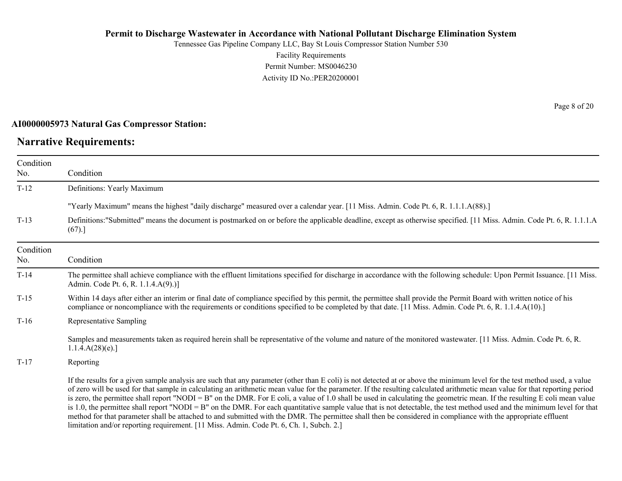Tennessee Gas Pipeline Company LLC, Bay St Louis Compressor Station Number 530 Facility Requirements Permit Number: MS0046230 Activity ID No.:PER20200001

#### **AI0000005973 Natural Gas Compressor Station:**

### **Narrative Requirements:**

Page 8 of 20

| Condition<br>No. | Condition                                                                                                                                                                                                                                                                                                                                                                                                                                                                                                                                                                                                                                                                                                                                                                                                                                                                                                                                                                      |
|------------------|--------------------------------------------------------------------------------------------------------------------------------------------------------------------------------------------------------------------------------------------------------------------------------------------------------------------------------------------------------------------------------------------------------------------------------------------------------------------------------------------------------------------------------------------------------------------------------------------------------------------------------------------------------------------------------------------------------------------------------------------------------------------------------------------------------------------------------------------------------------------------------------------------------------------------------------------------------------------------------|
| $T-12$           | Definitions: Yearly Maximum                                                                                                                                                                                                                                                                                                                                                                                                                                                                                                                                                                                                                                                                                                                                                                                                                                                                                                                                                    |
|                  | "Yearly Maximum" means the highest "daily discharge" measured over a calendar year. [11 Miss. Admin. Code Pt. 6, R. 1.1.1.A(88).]                                                                                                                                                                                                                                                                                                                                                                                                                                                                                                                                                                                                                                                                                                                                                                                                                                              |
| $T-13$           | Definitions:"Submitted" means the document is postmarked on or before the applicable deadline, except as otherwise specified. [11 Miss. Admin. Code Pt. 6, R. 1.1.1.A<br>(67).]                                                                                                                                                                                                                                                                                                                                                                                                                                                                                                                                                                                                                                                                                                                                                                                                |
| Condition<br>No. | Condition                                                                                                                                                                                                                                                                                                                                                                                                                                                                                                                                                                                                                                                                                                                                                                                                                                                                                                                                                                      |
| $T-14$           | The permittee shall achieve compliance with the effluent limitations specified for discharge in accordance with the following schedule: Upon Permit Issuance. [11 Miss.]<br>Admin. Code Pt. 6, R. 1.1.4.A(9).)]                                                                                                                                                                                                                                                                                                                                                                                                                                                                                                                                                                                                                                                                                                                                                                |
| $T-15$           | Within 14 days after either an interim or final date of compliance specified by this permit, the permittee shall provide the Permit Board with written notice of his<br>compliance or noncompliance with the requirements or conditions specified to be completed by that date. [11 Miss. Admin. Code Pt. 6, R. 1.1.4.A(10).]                                                                                                                                                                                                                                                                                                                                                                                                                                                                                                                                                                                                                                                  |
| $T-16$           | Representative Sampling                                                                                                                                                                                                                                                                                                                                                                                                                                                                                                                                                                                                                                                                                                                                                                                                                                                                                                                                                        |
|                  | Samples and measurements taken as required herein shall be representative of the volume and nature of the monitored wastewater. [11 Miss. Admin. Code Pt. 6, R.<br>1.1.4.A(28)(e).                                                                                                                                                                                                                                                                                                                                                                                                                                                                                                                                                                                                                                                                                                                                                                                             |
| $T-17$           | Reporting                                                                                                                                                                                                                                                                                                                                                                                                                                                                                                                                                                                                                                                                                                                                                                                                                                                                                                                                                                      |
|                  | If the results for a given sample analysis are such that any parameter (other than E coli) is not detected at or above the minimum level for the test method used, a value<br>of zero will be used for that sample in calculating an arithmetic mean value for the parameter. If the resulting calculated arithmetic mean value for that reporting period<br>is zero, the permittee shall report "NODI = B" on the DMR. For E coli, a value of 1.0 shall be used in calculating the geometric mean. If the resulting E coli mean value<br>is 1.0, the permittee shall report "NODI = B" on the DMR. For each quantitative sample value that is not detectable, the test method used and the minimum level for that<br>method for that parameter shall be attached to and submitted with the DMR. The permittee shall then be considered in compliance with the appropriate effluent<br>limitation and/or reporting requirement. [11 Miss. Admin. Code Pt. 6, Ch. 1, Subch. 2.] |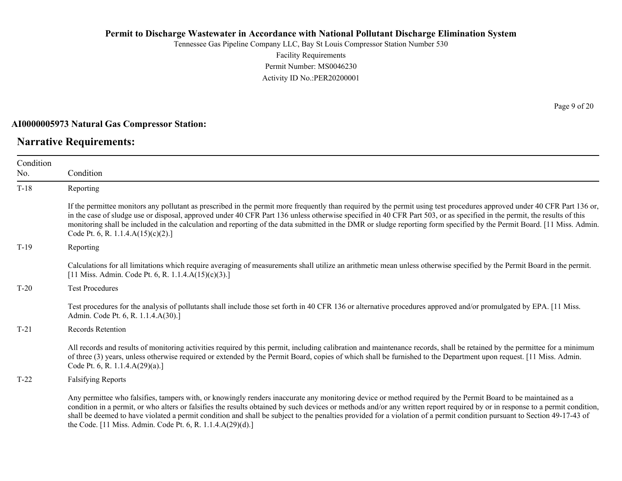Tennessee Gas Pipeline Company LLC, Bay St Louis Compressor Station Number 530 Facility Requirements Permit Number: MS0046230 Activity ID No.:PER20200001

#### **AI0000005973 Natural Gas Compressor Station:**

### **Narrative Requirements:**

Condition No. Condition T-18 Reporting If the permittee monitors any pollutant as prescribed in the permit more frequently than required by the permit using test procedures approved under 40 CFR Part 136 or, in the case of sludge use or disposal, approved under 40 CFR Part 136 unless otherwise specified in 40 CFR Part 503, or as specified in the permit, the results of this monitoring shall be included in the calculation and reporting of the data submitted in the DMR or sludge reporting form specified by the Permit Board. [11 Miss. Admin. Code Pt. 6, R. 1.1.4.A(15)(c)(2).] T-19 Reporting Calculations for all limitations which require averaging of measurements shall utilize an arithmetic mean unless otherwise specified by the Permit Board in the permit. [11 Miss. Admin. Code Pt. 6, R. 1.1.4.A(15)(c)(3).] T-20 Test Procedures Test procedures for the analysis of pollutants shall include those set forth in 40 CFR 136 or alternative procedures approved and/or promulgated by EPA. [11 Miss. Admin. Code Pt. 6, R. 1.1.4.A(30).] T-21 Records Retention All records and results of monitoring activities required by this permit, including calibration and maintenance records, shall be retained by the permittee for a minimum of three (3) years, unless otherwise required or extended by the Permit Board, copies of which shall be furnished to the Department upon request. [11 Miss. Admin. Code Pt. 6, R. 1.1.4.A(29)(a).] T-22 Falsifying Reports Any permittee who falsifies, tampers with, or knowingly renders inaccurate any monitoring device or method required by the Permit Board to be maintained as a condition in a permit, or who alters or falsifies the results obtained by such devices or methods and/or any written report required by or in response to a permit condition, shall be deemed to have violated a permit condition and shall be subject to the penalties provided for a violation of a permit condition pursuant to Section 49-17-43 of

the Code. [11 Miss. Admin. Code Pt. 6, R. 1.1.4.A(29)(d).]

Page 9 of 20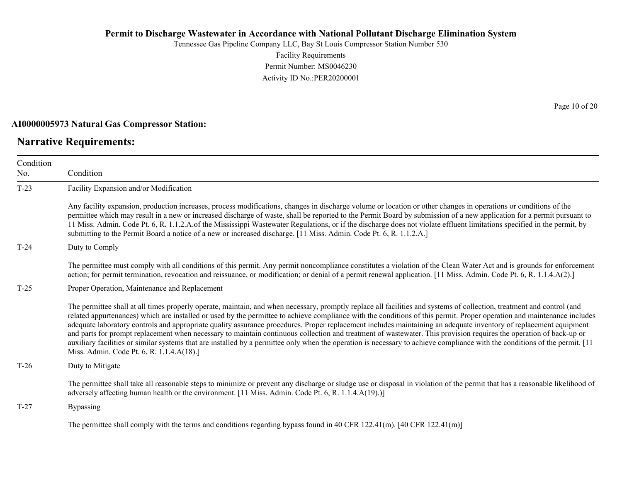Tennessee Gas Pipeline Company LLC, Bay St Louis Compressor Station Number 530 Facility Requirements Permit Number: MS0046230 Activity ID No.:PER20200001

#### **AI0000005973 Natural Gas Compressor Station:**

### **Narrative Requirements:**

Page 10 of 20

| Condition |                                                                                                                                                                                                                                                                                                                                                                                                                                                                                                                                                                                                                                                                                                                                                                                                                                                                                                                           |
|-----------|---------------------------------------------------------------------------------------------------------------------------------------------------------------------------------------------------------------------------------------------------------------------------------------------------------------------------------------------------------------------------------------------------------------------------------------------------------------------------------------------------------------------------------------------------------------------------------------------------------------------------------------------------------------------------------------------------------------------------------------------------------------------------------------------------------------------------------------------------------------------------------------------------------------------------|
| No.       | Condition                                                                                                                                                                                                                                                                                                                                                                                                                                                                                                                                                                                                                                                                                                                                                                                                                                                                                                                 |
| $T-23$    | Facility Expansion and/or Modification                                                                                                                                                                                                                                                                                                                                                                                                                                                                                                                                                                                                                                                                                                                                                                                                                                                                                    |
|           | Any facility expansion, production increases, process modifications, changes in discharge volume or location or other changes in operations or conditions of the<br>permittee which may result in a new or increased discharge of waste, shall be reported to the Permit Board by submission of a new application for a permit pursuant to<br>11 Miss. Admin. Code Pt. 6, R. 1.1.2.A.of the Mississippi Wastewater Regulations, or if the discharge does not violate effluent limitations specified in the permit, by<br>submitting to the Permit Board a notice of a new or increased discharge. [11 Miss. Admin. Code Pt. 6, R. 1.1.2.A.]                                                                                                                                                                                                                                                                               |
| $T-24$    | Duty to Comply                                                                                                                                                                                                                                                                                                                                                                                                                                                                                                                                                                                                                                                                                                                                                                                                                                                                                                            |
|           | The permittee must comply with all conditions of this permit. Any permit noncompliance constitutes a violation of the Clean Water Act and is grounds for enforcement<br>action; for permit termination, revocation and reissuance, or modification; or denial of a permit renewal application. [11 Miss. Admin. Code Pt. 6, R. 1.1.4.A(2).]                                                                                                                                                                                                                                                                                                                                                                                                                                                                                                                                                                               |
| $T-25$    | Proper Operation, Maintenance and Replacement                                                                                                                                                                                                                                                                                                                                                                                                                                                                                                                                                                                                                                                                                                                                                                                                                                                                             |
|           | The permittee shall at all times properly operate, maintain, and when necessary, promptly replace all facilities and systems of collection, treatment and control (and<br>related appurtenances) which are installed or used by the permittee to achieve compliance with the conditions of this permit. Proper operation and maintenance includes<br>adequate laboratory controls and appropriate quality assurance procedures. Proper replacement includes maintaining an adequate inventory of replacement equipment<br>and parts for prompt replacement when necessary to maintain continuous collection and treatment of wastewater. This provision requires the operation of back-up or<br>auxiliary facilities or similar systems that are installed by a permittee only when the operation is necessary to achieve compliance with the conditions of the permit. [11]<br>Miss. Admin. Code Pt. 6, R. 1.1.4.A(18).] |
| $T-26$    | Duty to Mitigate                                                                                                                                                                                                                                                                                                                                                                                                                                                                                                                                                                                                                                                                                                                                                                                                                                                                                                          |
|           | The permittee shall take all reasonable steps to minimize or prevent any discharge or sludge use or disposal in violation of the permit that has a reasonable likelihood of<br>adversely affecting human health or the environment. [11 Miss. Admin. Code Pt. 6, R. 1.1.4.A(19).)]                                                                                                                                                                                                                                                                                                                                                                                                                                                                                                                                                                                                                                        |
| $T-27$    | <b>Bypassing</b>                                                                                                                                                                                                                                                                                                                                                                                                                                                                                                                                                                                                                                                                                                                                                                                                                                                                                                          |
|           | The permittee shall comply with the terms and conditions regarding bypass found in 40 CFR 122.41(m). [40 CFR 122.41(m)]                                                                                                                                                                                                                                                                                                                                                                                                                                                                                                                                                                                                                                                                                                                                                                                                   |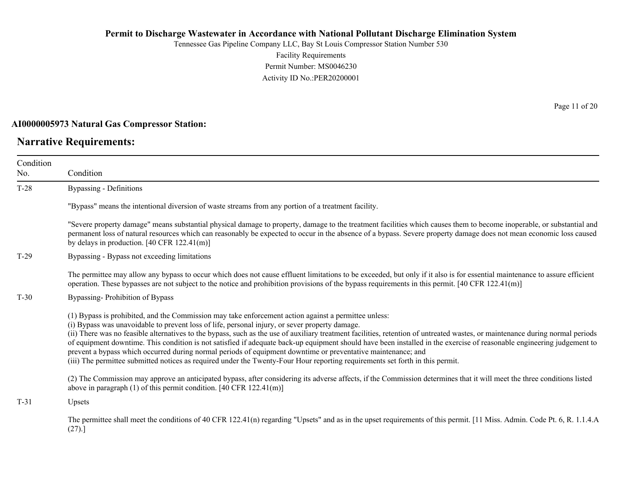Tennessee Gas Pipeline Company LLC, Bay St Louis Compressor Station Number 530 Facility Requirements Permit Number: MS0046230 Activity ID No.:PER20200001

#### **AI0000005973 Natural Gas Compressor Station:**

### **Narrative Requirements:**

Condition No.

Condition T-28 Bypassing - Definitions "Bypass" means the intentional diversion of waste streams from any portion of a treatment facility. "Severe property damage" means substantial physical damage to property, damage to the treatment facilities which causes them to become inoperable, or substantial and permanent loss of natural resources which can reasonably be expected to occur in the absence of a bypass. Severe property damage does not mean economic loss caused by delays in production. [40 CFR 122.41(m)] T-29 Bypassing - Bypass not exceeding limitations The permittee may allow any bypass to occur which does not cause effluent limitations to be exceeded, but only if it also is for essential maintenance to assure efficient operation. These bypasses are not subject to the notice and prohibition provisions of the bypass requirements in this permit. [40 CFR 122.41(m)] T-30 Bypassing- Prohibition of Bypass (1) Bypass is prohibited, and the Commission may take enforcement action against a permittee unless:

(i) Bypass was unavoidable to prevent loss of life, personal injury, or sever property damage.

(ii) There was no feasible alternatives to the bypass, such as the use of auxiliary treatment facilities, retention of untreated wastes, or maintenance during normal periods of equipment downtime. This condition is not satisfied if adequate back-up equipment should have been installed in the exercise of reasonable engineering judgement to prevent a bypass which occurred during normal periods of equipment downtime or preventative maintenance; and

(iii) The permittee submitted notices as required under the Twenty-Four Hour reporting requirements set forth in this permit.

(2) The Commission may approve an anticipated bypass, after considering its adverse affects, if the Commission determines that it will meet the three conditions listed above in paragraph (1) of this permit condition. [40 CFR 122.41(m)]

T-31 Upsets

The permittee shall meet the conditions of 40 CFR 122.41(n) regarding "Upsets" and as in the upset requirements of this permit. [11 Miss. Admin. Code Pt. 6, R. 1.1.4.A (27).]

Page 11 of 20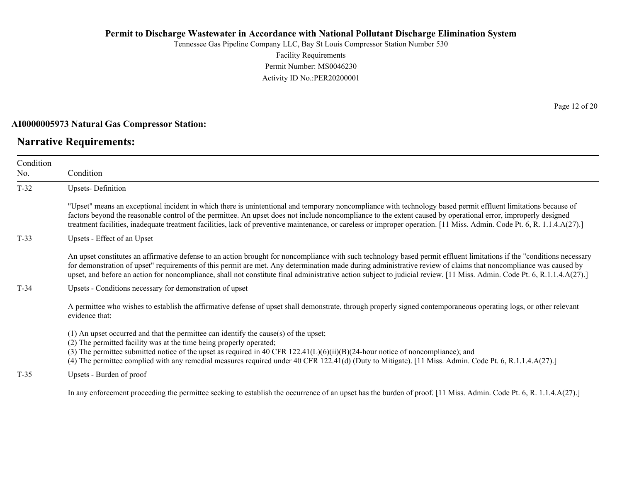Tennessee Gas Pipeline Company LLC, Bay St Louis Compressor Station Number 530 Facility Requirements Permit Number: MS0046230 Activity ID No.:PER20200001

#### **AI0000005973 Natural Gas Compressor Station:**

### **Narrative Requirements:**

Page 12 of 20

| Condition |                                                                                                                                                                                                                                                                                                                                                                                                                                                                                                                       |
|-----------|-----------------------------------------------------------------------------------------------------------------------------------------------------------------------------------------------------------------------------------------------------------------------------------------------------------------------------------------------------------------------------------------------------------------------------------------------------------------------------------------------------------------------|
| No.       | Condition                                                                                                                                                                                                                                                                                                                                                                                                                                                                                                             |
| $T-32$    | <b>Upsets-Definition</b>                                                                                                                                                                                                                                                                                                                                                                                                                                                                                              |
|           | "Upset" means an exceptional incident in which there is unintentional and temporary noncompliance with technology based permit effluent limitations because of<br>factors beyond the reasonable control of the permittee. An upset does not include noncompliance to the extent caused by operational error, improperly designed<br>treatment facilities, inadequate treatment facilities, lack of preventive maintenance, or careless or improper operation. [11 Miss. Admin. Code Pt. 6, R. 1.1.4.A(27).]           |
| $T-33$    | Upsets - Effect of an Upset                                                                                                                                                                                                                                                                                                                                                                                                                                                                                           |
|           | An upset constitutes an affirmative defense to an action brought for noncompliance with such technology based permit effluent limitations if the "conditions necessary<br>for demonstration of upset" requirements of this permit are met. Any determination made during administrative review of claims that noncompliance was caused by<br>upset, and before an action for noncompliance, shall not constitute final administrative action subject to judicial review. [11 Miss. Admin. Code Pt. 6, R.1.1.4.A(27).] |
| $T-34$    | Upsets - Conditions necessary for demonstration of upset                                                                                                                                                                                                                                                                                                                                                                                                                                                              |
|           | A permittee who wishes to establish the affirmative defense of upset shall demonstrate, through properly signed contemporaneous operating logs, or other relevant<br>evidence that:                                                                                                                                                                                                                                                                                                                                   |
|           | $(1)$ An upset occurred and that the permittee can identify the cause(s) of the upset;<br>(2) The permitted facility was at the time being properly operated;<br>(3) The permittee submitted notice of the upset as required in 40 CFR $122.41(L)(6)(ii)(B)(24-hour notice of noncompliance)$ ; and<br>(4) The permittee complied with any remedial measures required under 40 CFR 122.41(d) (Duty to Mitigate). [11 Miss. Admin. Code Pt. 6, R.1.1.4.A(27).]                                                         |
| $T-35$    | Upsets - Burden of proof                                                                                                                                                                                                                                                                                                                                                                                                                                                                                              |
|           | In any enforcement proceeding the permittee seeking to establish the occurrence of an upset has the burden of proof. [11 Miss. Admin. Code Pt. 6, R. 1.1.4.A(27).]                                                                                                                                                                                                                                                                                                                                                    |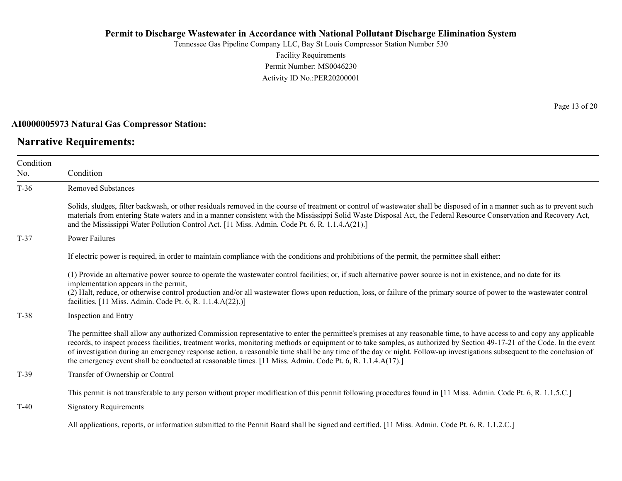Tennessee Gas Pipeline Company LLC, Bay St Louis Compressor Station Number 530 Facility Requirements Permit Number: MS0046230 Activity ID No.:PER20200001

#### **AI0000005973 Natural Gas Compressor Station:**

### **Narrative Requirements:**

Page 13 of 20

| Condition<br>No. | Condition                                                                                                                                                                                                                                                                                                                                                                                                                                                                                                                                                                                                                                  |
|------------------|--------------------------------------------------------------------------------------------------------------------------------------------------------------------------------------------------------------------------------------------------------------------------------------------------------------------------------------------------------------------------------------------------------------------------------------------------------------------------------------------------------------------------------------------------------------------------------------------------------------------------------------------|
| $T-36$           | <b>Removed Substances</b>                                                                                                                                                                                                                                                                                                                                                                                                                                                                                                                                                                                                                  |
|                  | Solids, sludges, filter backwash, or other residuals removed in the course of treatment or control of wastewater shall be disposed of in a manner such as to prevent such<br>materials from entering State waters and in a manner consistent with the Mississippi Solid Waste Disposal Act, the Federal Resource Conservation and Recovery Act,<br>and the Mississippi Water Pollution Control Act. [11 Miss. Admin. Code Pt. 6, R. 1.1.4.A(21).]                                                                                                                                                                                          |
| $T-37$           | Power Failures                                                                                                                                                                                                                                                                                                                                                                                                                                                                                                                                                                                                                             |
|                  | If electric power is required, in order to maintain compliance with the conditions and prohibitions of the permit, the permittee shall either:                                                                                                                                                                                                                                                                                                                                                                                                                                                                                             |
|                  | (1) Provide an alternative power source to operate the wastewater control facilities; or, if such alternative power source is not in existence, and no date for its<br>implementation appears in the permit,<br>(2) Halt, reduce, or otherwise control production and/or all wastewater flows upon reduction, loss, or failure of the primary source of power to the wastewater control<br>facilities. [11 Miss. Admin. Code Pt. 6, R. 1.1.4.A(22).)]                                                                                                                                                                                      |
| $T-38$           | Inspection and Entry                                                                                                                                                                                                                                                                                                                                                                                                                                                                                                                                                                                                                       |
|                  | The permittee shall allow any authorized Commission representative to enter the permittee's premises at any reasonable time, to have access to and copy any applicable<br>records, to inspect process facilities, treatment works, monitoring methods or equipment or to take samples, as authorized by Section 49-17-21 of the Code. In the event<br>of investigation during an emergency response action, a reasonable time shall be any time of the day or night. Follow-up investigations subsequent to the conclusion of<br>the emergency event shall be conducted at reasonable times. [11 Miss. Admin. Code Pt. 6, R. 1.1.4.A(17).] |
| $T-39$           | Transfer of Ownership or Control                                                                                                                                                                                                                                                                                                                                                                                                                                                                                                                                                                                                           |
| $T-40$           | This permit is not transferable to any person without proper modification of this permit following procedures found in [11 Miss. Admin. Code Pt. 6, R. 1.1.5.C.]<br><b>Signatory Requirements</b>                                                                                                                                                                                                                                                                                                                                                                                                                                          |
|                  | All applications, reports, or information submitted to the Permit Board shall be signed and certified. [11 Miss. Admin. Code Pt. 6, R. 1.1.2.C.]                                                                                                                                                                                                                                                                                                                                                                                                                                                                                           |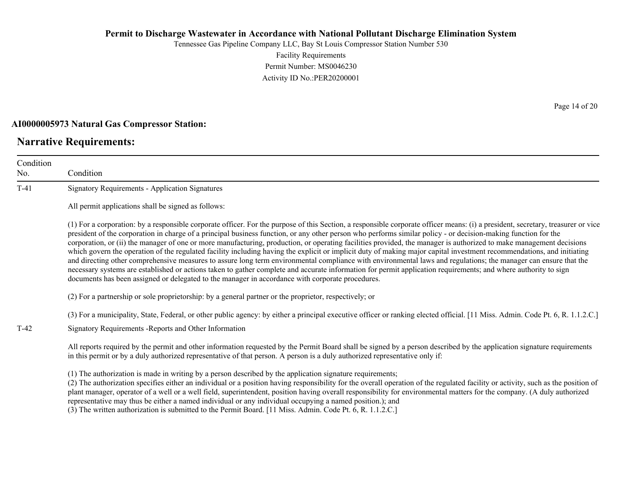Tennessee Gas Pipeline Company LLC, Bay St Louis Compressor Station Number 530 Facility Requirements Permit Number: MS0046230 Activity ID No.:PER20200001

#### **AI0000005973 Natural Gas Compressor Station:**

### **Narrative Requirements:**

No.

Condition Condition T-41 Signatory Requirements - Application Signatures All permit applications shall be signed as follows: (1) For a corporation: by a responsible corporate officer. For the purpose of this Section, a responsible corporate officer means: (i) a president, secretary, treasurer or vice president of the corporation in charge of a principal business function, or any other person who performs similar policy - or decision-making function for the corporation, or (ii) the manager of one or more manufacturing, production, or operating facilities provided, the manager is authorized to make management decisions which govern the operation of the regulated facility including having the explicit or implicit duty of making major capital investment recommendations, and initiating and directing other comprehensive measures to assure long term environmental compliance with environmental laws and regulations; the manager can ensure that the necessary systems are established or actions taken to gather complete and accurate information for permit application requirements; and where authority to sign documents has been assigned or delegated to the manager in accordance with corporate procedures. (2) For a partnership or sole proprietorship: by a general partner or the proprietor, respectively; or (3) For a municipality, State, Federal, or other public agency: by either a principal executive officer or ranking elected official. [11 Miss. Admin. Code Pt. 6, R. 1.1.2.C.] T-42 Signatory Requirements -Reports and Other Information All reports required by the permit and other information requested by the Permit Board shall be signed by a person described by the application signature requirements in this permit or by a duly authorized representative of that person. A person is a duly authorized representative only if: (1) The authorization is made in writing by a person described by the application signature requirements; (2) The authorization specifies either an individual or a position having responsibility for the overall operation of the regulated facility or activity, such as the position of plant manager, operator of a well or a well field, superintendent, position having overall responsibility for environmental matters for the company. (A duly authorized

representative may thus be either a named individual or any individual occupying a named position.); and

(3) The written authorization is submitted to the Permit Board. [11 Miss. Admin. Code Pt. 6, R. 1.1.2.C.]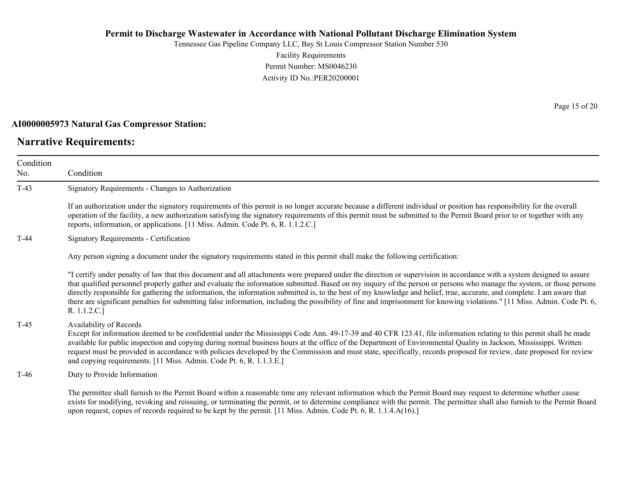Tennessee Gas Pipeline Company LLC, Bay St Louis Compressor Station Number 530 Facility Requirements Permit Number: MS0046230 Activity ID No.:PER20200001

#### **AI0000005973 Natural Gas Compressor Station:**

### **Narrative Requirements:**

No.

Condition Condition T-43 Signatory Requirements - Changes to Authorization If an authorization under the signatory requirements of this permit is no longer accurate because a different individual or position has responsibility for the overall operation of the facility, a new authorization satisfying the signatory requirements of this permit must be submitted to the Permit Board prior to or together with any reports, information, or applications. [11 Miss. Admin. Code Pt. 6, R. 1.1.2.C.] T-44 Signatory Requirements - Certification Any person signing a document under the signatory requirements stated in this permit shall make the following certification: "I certify under penalty of law that this document and all attachments were prepared under the direction or supervision in accordance with a system designed to assure that qualified personnel properly gather and evaluate the information submitted. Based on my inquiry of the person or persons who manage the system, or those persons directly responsible for gathering the information, the information submitted is, to the best of my knowledge and belief, true, accurate, and complete. I am aware that there are significant penalties for submitting false information, including the possibility of fine and imprisonment for knowing violations." [11 Miss. Admin. Code Pt. 6, R. 1.1.2.C.] T-45 Availability of Records Except for information deemed to be confidential under the Mississippi Code Ann. 49-17-39 and 40 CFR 123.41, file information relating to this permit shall be made available for public inspection and copying during normal business hours at the office of the Department of Environmental Quality in Jackson, Mississippi. Written request must be provided in accordance with policies developed by the Commission and must state, specifically, records proposed for review, date proposed for review and copying requirements. [11 Miss. Admin. Code Pt. 6, R. 1.1.3.E.] T-46 Duty to Provide Information

The permittee shall furnish to the Permit Board within a reasonable time any relevant information which the Permit Board may request to determine whether cause exists for modifying, revoking and reissuing, or terminating the permit, or to determine compliance with the permit. The permittee shall also furnish to the Permit Board upon request, copies of records required to be kept by the permit. [11 Miss. Admin. Code Pt. 6, R. 1.1.4.A(16).]

Page 15 of 20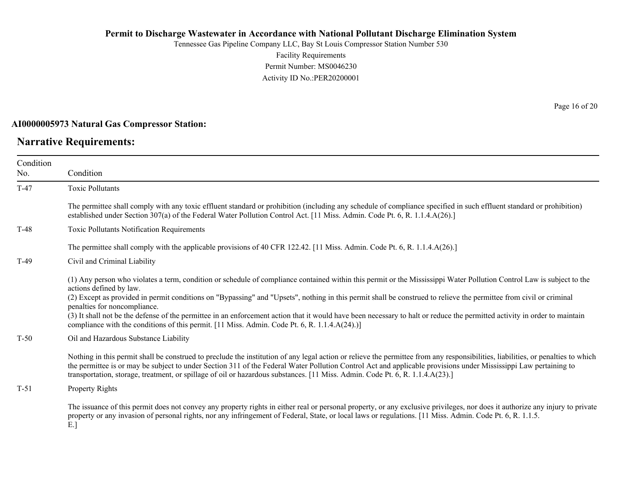Tennessee Gas Pipeline Company LLC, Bay St Louis Compressor Station Number 530 Facility Requirements Permit Number: MS0046230 Activity ID No.:PER20200001

#### **AI0000005973 Natural Gas Compressor Station:**

### **Narrative Requirements:**

No.

Condition Condition T-47 Toxic Pollutants The permittee shall comply with any toxic effluent standard or prohibition (including any schedule of compliance specified in such effluent standard or prohibition) established under Section 307(a) of the Federal Water Pollution Control Act. [11 Miss. Admin. Code Pt. 6, R. 1.1.4.A(26).] T-48 Toxic Pollutants Notification Requirements The permittee shall comply with the applicable provisions of 40 CFR 122.42. [11 Miss. Admin. Code Pt. 6, R. 1.1.4.A(26).] T-49 Civil and Criminal Liability (1) Any person who violates a term, condition or schedule of compliance contained within this permit or the Mississippi Water Pollution Control Law is subject to the actions defined by law. (2) Except as provided in permit conditions on "Bypassing" and "Upsets", nothing in this permit shall be construed to relieve the permittee from civil or criminal penalties for noncompliance. (3) It shall not be the defense of the permittee in an enforcement action that it would have been necessary to halt or reduce the permitted activity in order to maintain compliance with the conditions of this permit. [11 Miss. Admin. Code Pt. 6, R. 1.1.4.A(24).)] T-50 Oil and Hazardous Substance Liability Nothing in this permit shall be construed to preclude the institution of any legal action or relieve the permittee from any responsibilities, liabilities, or penalties to which the permittee is or may be subject to under Section 311 of the Federal Water Pollution Control Act and applicable provisions under Mississippi Law pertaining to

T-51 Property Rights

The issuance of this permit does not convey any property rights in either real or personal property, or any exclusive privileges, nor does it authorize any injury to private property or any invasion of personal rights, nor any infringement of Federal, State, or local laws or regulations. [11 Miss. Admin. Code Pt. 6, R. 1.1.5. E.]

transportation, storage, treatment, or spillage of oil or hazardous substances. [11 Miss. Admin. Code Pt. 6, R. 1.1.4.A(23).]

Page 16 of 20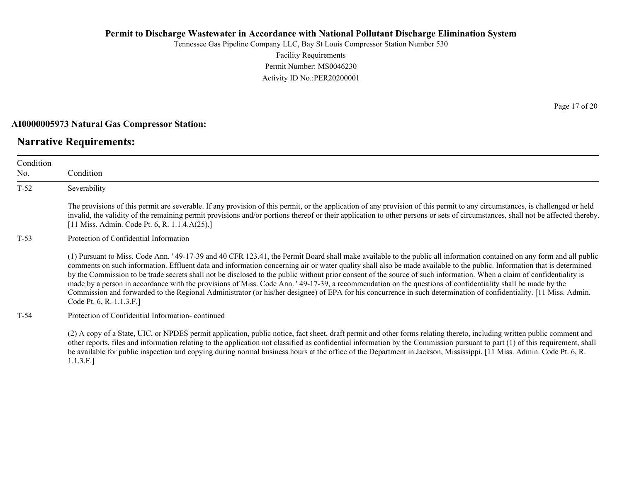Tennessee Gas Pipeline Company LLC, Bay St Louis Compressor Station Number 530 Facility Requirements Permit Number: MS0046230 Activity ID No.:PER20200001

#### **AI0000005973 Natural Gas Compressor Station:**

### **Narrative Requirements:**

Condition No. Condition T-52 Severability The provisions of this permit are severable. If any provision of this permit, or the application of any provision of this permit to any circumstances, is challenged or held invalid, the validity of the remaining permit provisions and/or portions thereof or their application to other persons or sets of circumstances, shall not be affected thereby. [11 Miss. Admin. Code Pt. 6, R. 1.1.4.A(25).] T-53 Protection of Confidential Information (1) Pursuant to Miss. Code Ann. ' 49-17-39 and 40 CFR 123.41, the Permit Board shall make available to the public all information contained on any form and all public comments on such information. Effluent data and information concerning air or water quality shall also be made available to the public. Information that is determined by the Commission to be trade secrets shall not be disclosed to the public without prior consent of the source of such information. When a claim of confidentiality is made by a person in accordance with the provisions of Miss. Code Ann. ' 49-17-39, a recommendation on the questions of confidentiality shall be made by the Commission and forwarded to the Regional Administrator (or his/her designee) of EPA for his concurrence in such determination of confidentiality. [11 Miss. Admin. Code Pt. 6, R. 1.1.3.F.] T-54 Protection of Confidential Information- continued (2) A copy of a State, UIC, or NPDES permit application, public notice, fact sheet, draft permit and other forms relating thereto, including written public comment and

other reports, files and information relating to the application not classified as confidential information by the Commission pursuant to part (1) of this requirement, shall be available for public inspection and copying during normal business hours at the office of the Department in Jackson, Mississippi. [11 Miss. Admin. Code Pt. 6, R. 1.1.3.F.]

Page 17 of 20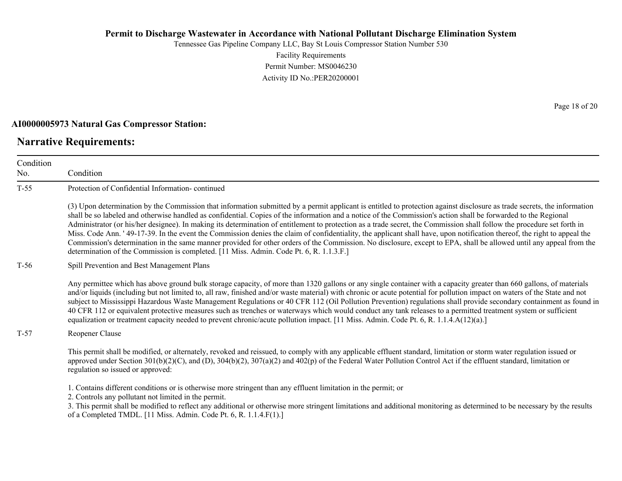Tennessee Gas Pipeline Company LLC, Bay St Louis Compressor Station Number 530 Facility Requirements Permit Number: MS0046230 Activity ID No.:PER20200001

#### **AI0000005973 Natural Gas Compressor Station:**

### **Narrative Requirements:**

No.

Condition Condition T-55 Protection of Confidential Information- continued (3) Upon determination by the Commission that information submitted by a permit applicant is entitled to protection against disclosure as trade secrets, the information shall be so labeled and otherwise handled as confidential. Copies of the information and a notice of the Commission's action shall be forwarded to the Regional Administrator (or his/her designee). In making its determination of entitlement to protection as a trade secret, the Commission shall follow the procedure set forth in Miss. Code Ann. ' 49-17-39. In the event the Commission denies the claim of confidentiality, the applicant shall have, upon notification thereof, the right to appeal the Commission's determination in the same manner provided for other orders of the Commission. No disclosure, except to EPA, shall be allowed until any appeal from the determination of the Commission is completed. [11 Miss. Admin. Code Pt. 6, R. 1.1.3.F.] T-56 Spill Prevention and Best Management Plans Any permittee which has above ground bulk storage capacity, of more than 1320 gallons or any single container with a capacity greater than 660 gallons, of materials and/or liquids (including but not limited to, all raw, finished and/or waste material) with chronic or acute potential for pollution impact on waters of the State and not subject to Mississippi Hazardous Waste Management Regulations or 40 CFR 112 (Oil Pollution Prevention) regulations shall provide secondary containment as found in 40 CFR 112 or equivalent protective measures such as trenches or waterways which would conduct any tank releases to a permitted treatment system or sufficient equalization or treatment capacity needed to prevent chronic/acute pollution impact. [11 Miss. Admin. Code Pt. 6, R. 1.1.4.A(12)(a).] T-57 Reopener Clause This permit shall be modified, or alternately, revoked and reissued, to comply with any applicable effluent standard, limitation or storm water regulation issued or approved under Section  $301(b)(2)(C)$ , and  $(D)$ ,  $304(b)(2)$ ,  $307(a)(2)$  and  $402(p)$  of the Federal Water Pollution Control Act if the effluent standard, limitation or regulation so issued or approved: 1. Contains different conditions or is otherwise more stringent than any effluent limitation in the permit; or 2. Controls any pollutant not limited in the permit.

3. This permit shall be modified to reflect any additional or otherwise more stringent limitations and additional monitoring as determined to be necessary by the results of a Completed TMDL. [11 Miss. Admin. Code Pt. 6, R. 1.1.4.F(1).]

Page 18 of 20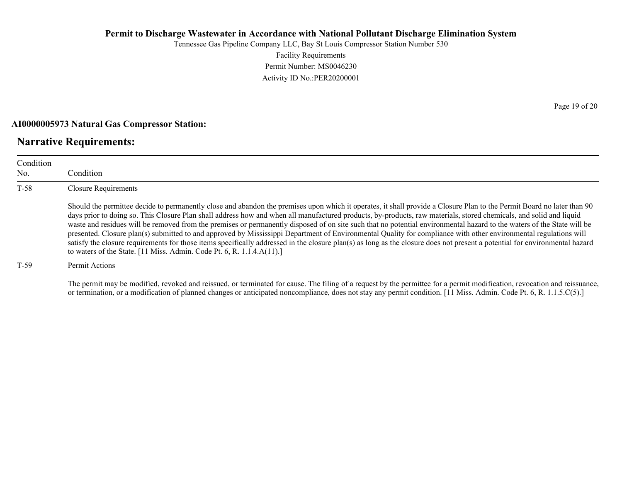Tennessee Gas Pipeline Company LLC, Bay St Louis Compressor Station Number 530 Facility Requirements Permit Number: MS0046230 Activity ID No.:PER20200001

#### **AI0000005973 Natural Gas Compressor Station:**

### **Narrative Requirements:**

| Condition<br>No. | Condition                                                                                                                                                                                                                                                                                                                                                                                                                                                                                                                                                                                                                                                                                                                                                                                                                                                                                                                                          |
|------------------|----------------------------------------------------------------------------------------------------------------------------------------------------------------------------------------------------------------------------------------------------------------------------------------------------------------------------------------------------------------------------------------------------------------------------------------------------------------------------------------------------------------------------------------------------------------------------------------------------------------------------------------------------------------------------------------------------------------------------------------------------------------------------------------------------------------------------------------------------------------------------------------------------------------------------------------------------|
| $T-58$           | Closure Requirements                                                                                                                                                                                                                                                                                                                                                                                                                                                                                                                                                                                                                                                                                                                                                                                                                                                                                                                               |
|                  | Should the permittee decide to permanently close and abandon the premises upon which it operates, it shall provide a Closure Plan to the Permit Board no later than 90<br>days prior to doing so. This Closure Plan shall address how and when all manufactured products, by-products, raw materials, stored chemicals, and solid and liquid<br>waste and residues will be removed from the premises or permanently disposed of on site such that no potential environmental hazard to the waters of the State will be<br>presented. Closure plan(s) submitted to and approved by Mississippi Department of Environmental Quality for compliance with other environmental regulations will<br>satisfy the closure requirements for those items specifically addressed in the closure plan(s) as long as the closure does not present a potential for environmental hazard<br>to waters of the State. [11 Miss. Admin. Code Pt. 6, R. 1.1.4.A(11).] |
| T-59             | Permit Actions                                                                                                                                                                                                                                                                                                                                                                                                                                                                                                                                                                                                                                                                                                                                                                                                                                                                                                                                     |

The permit may be modified, revoked and reissued, or terminated for cause. The filing of a request by the permittee for a permit modification, revocation and reissuance, or termination, or a modification of planned changes or anticipated noncompliance, does not stay any permit condition. [11 Miss. Admin. Code Pt. 6, R. 1.1.5.C(5).]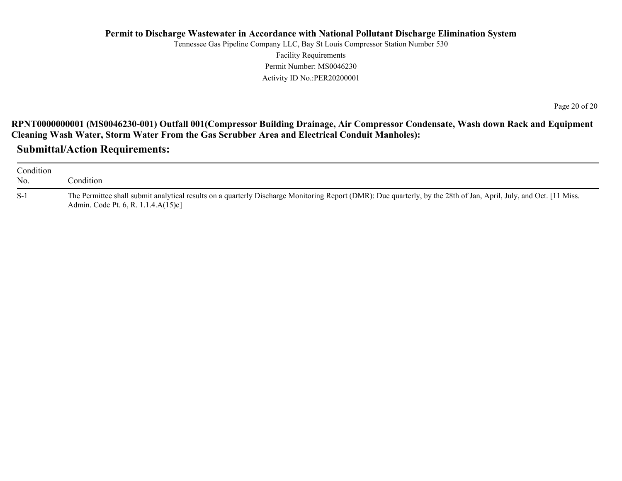Tennessee Gas Pipeline Company LLC, Bay St Louis Compressor Station Number 530 Facility Requirements Permit Number: MS0046230 Activity ID No.:PER20200001

Page 20 of 20

**RPNT0000000001 (MS0046230-001) Outfall 001(Compressor Building Drainage, Air Compressor Condensate, Wash down Rack and Equipment Cleaning Wash Water, Storm Water From the Gas Scrubber Area and Electrical Conduit Manholes):**

**Submittal/Action Requirements:**

| Condition<br>No. | Condition                                                                                                                                                                                                  |
|------------------|------------------------------------------------------------------------------------------------------------------------------------------------------------------------------------------------------------|
| $S-1$            | The Permittee shall submit analytical results on a quarterly Discharge Monitoring Report (DMR): Due quarterly, by the 28th of Jan, April, July, and Oct. [11 Miss.]<br>Admin. Code Pt. 6, R. 1.1.4.A(15)c] |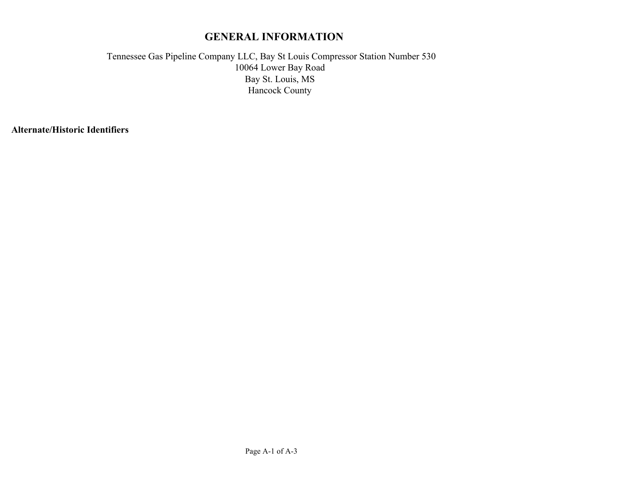# **GENERAL INFORMATION**

Tennessee Gas Pipeline Company LLC, Bay St Louis Compressor Station Number 530 Bay St. Louis, MS Hancock County 10064 Lower Bay Road

**Alternate/Historic Identifiers**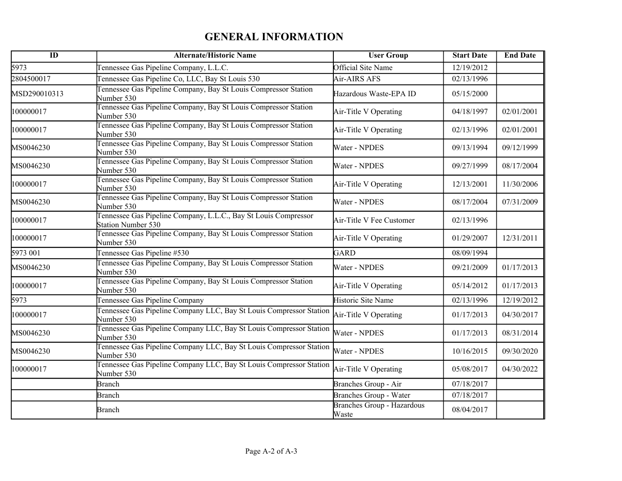# **GENERAL INFORMATION**

| $\overline{ID}$ | <b>Alternate/Historic Name</b>                                                        | <b>User Group</b>                          | <b>Start Date</b>    | <b>End Date</b> |
|-----------------|---------------------------------------------------------------------------------------|--------------------------------------------|----------------------|-----------------|
| 5973            | Tennessee Gas Pipeline Company, L.L.C.                                                | Official Site Name                         | 12/19/2012           |                 |
| 2804500017      | Tennessee Gas Pipeline Co, LLC, Bay St Louis 530                                      | Air-AIRS AFS                               | 02/13/1996           |                 |
| MSD290010313    | Tennessee Gas Pipeline Company, Bay St Louis Compressor Station<br>Number 530         | Hazardous Waste-EPA ID                     | 05/15/2000           |                 |
| 100000017       | Tennessee Gas Pipeline Company, Bay St Louis Compressor Station<br>Number 530         | Air-Title V Operating                      | 04/18/1997           | 02/01/2001      |
| 100000017       | Tennessee Gas Pipeline Company, Bay St Louis Compressor Station<br>Number 530         | Air-Title V Operating                      | 02/13/1996           | 02/01/2001      |
| MS0046230       | Tennessee Gas Pipeline Company, Bay St Louis Compressor Station<br>Number 530         | Water - NPDES                              | 09/13/1994           | 09/12/1999      |
| MS0046230       | Tennessee Gas Pipeline Company, Bay St Louis Compressor Station<br>Number 530         | Water - NPDES                              | 09/27/1999           | 08/17/2004      |
| 100000017       | Tennessee Gas Pipeline Company, Bay St Louis Compressor Station<br>Vumber 530         | Air-Title V Operating                      | 12/13/2001           | 11/30/2006      |
| MS0046230       | Tennessee Gas Pipeline Company, Bay St Louis Compressor Station<br>Number 530         | Water - NPDES                              | 08/17/2004           | 07/31/2009      |
| 100000017       | Tennessee Gas Pipeline Company, L.L.C., Bay St Louis Compressor<br>Station Number 530 | Air-Title V Fee Customer                   | 02/13/1996           |                 |
| 100000017       | Tennessee Gas Pipeline Company, Bay St Louis Compressor Station<br>Number 530         | Air-Title V Operating                      | 01/29/2007           | 12/31/2011      |
| 5973 001        | Tennessee Gas Pipeline #530                                                           | <b>GARD</b>                                | 08/09/1994           |                 |
| MS0046230       | Tennessee Gas Pipeline Company, Bay St Louis Compressor Station<br>Number 530         | Water - NPDES                              | 09/21/2009           | 01/17/2013      |
| 100000017       | Tennessee Gas Pipeline Company, Bay St Louis Compressor Station<br>Number 530         | Air-Title V Operating                      | 05/14/2012           | 01/17/2013      |
| 5973            | Tennessee Gas Pipeline Company                                                        | Historic Site Name                         | 02/13/1996           | 12/19/2012      |
| 100000017       | Tennessee Gas Pipeline Company LLC, Bay St Louis Compressor Station<br>Number 530     | Air-Title V Operating                      | 01/17/2013           | 04/30/2017      |
| MS0046230       | Tennessee Gas Pipeline Company LLC, Bay St Louis Compressor Station<br>Number 530     | Water - NPDES                              | 01/17/2013           | 08/31/2014      |
| MS0046230       | Tennessee Gas Pipeline Company LLC, Bay St Louis Compressor Station<br>Number 530     | Water - NPDES                              | 10/16/2015           | 09/30/2020      |
| 100000017       | Tennessee Gas Pipeline Company LLC, Bay St Louis Compressor Station<br>Number 530     | Air-Title V Operating                      | 05/08/2017           | 04/30/2022      |
|                 | <b>Branch</b>                                                                         | Branches Group - Air                       | $\frac{07}{18/2017}$ |                 |
|                 | <b>Branch</b>                                                                         | Branches Group - Water                     | 07/18/2017           |                 |
|                 | Branch                                                                                | <b>Branches Group - Hazardous</b><br>Waste | 08/04/2017           |                 |